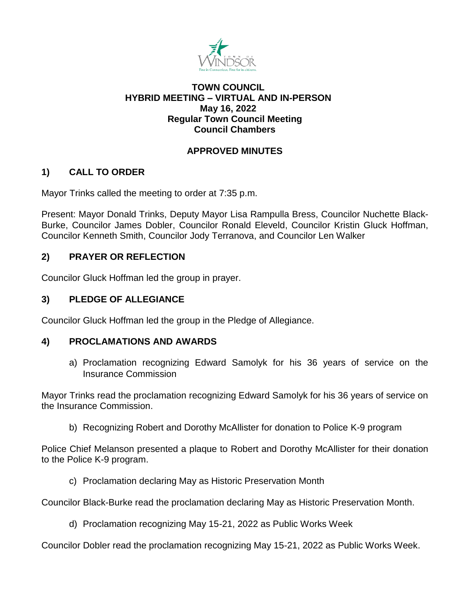

# **TOWN COUNCIL HYBRID MEETING – VIRTUAL AND IN-PERSON May 16, 2022 Regular Town Council Meeting Council Chambers**

# **APPROVED MINUTES**

# **1) CALL TO ORDER**

Mayor Trinks called the meeting to order at 7:35 p.m.

Present: Mayor Donald Trinks, Deputy Mayor Lisa Rampulla Bress, Councilor Nuchette Black-Burke, Councilor James Dobler, Councilor Ronald Eleveld, Councilor Kristin Gluck Hoffman, Councilor Kenneth Smith, Councilor Jody Terranova, and Councilor Len Walker

# **2) PRAYER OR REFLECTION**

Councilor Gluck Hoffman led the group in prayer.

# **3) PLEDGE OF ALLEGIANCE**

Councilor Gluck Hoffman led the group in the Pledge of Allegiance.

# **4) PROCLAMATIONS AND AWARDS**

a) Proclamation recognizing Edward Samolyk for his 36 years of service on the Insurance Commission

Mayor Trinks read the proclamation recognizing Edward Samolyk for his 36 years of service on the Insurance Commission.

b) Recognizing Robert and Dorothy McAllister for donation to Police K-9 program

Police Chief Melanson presented a plaque to Robert and Dorothy McAllister for their donation to the Police K-9 program.

c) Proclamation declaring May as Historic Preservation Month

Councilor Black-Burke read the proclamation declaring May as Historic Preservation Month.

d) Proclamation recognizing May 15-21, 2022 as Public Works Week

Councilor Dobler read the proclamation recognizing May 15-21, 2022 as Public Works Week.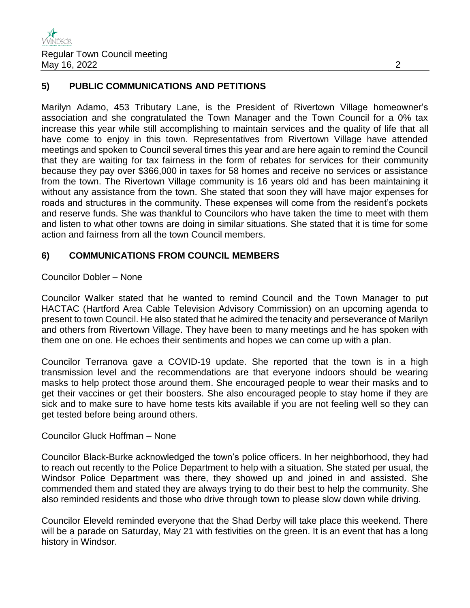# **5) PUBLIC COMMUNICATIONS AND PETITIONS**

Marilyn Adamo, 453 Tributary Lane, is the President of Rivertown Village homeowner's association and she congratulated the Town Manager and the Town Council for a 0% tax increase this year while still accomplishing to maintain services and the quality of life that all have come to enjoy in this town. Representatives from Rivertown Village have attended meetings and spoken to Council several times this year and are here again to remind the Council that they are waiting for tax fairness in the form of rebates for services for their community because they pay over \$366,000 in taxes for 58 homes and receive no services or assistance from the town. The Rivertown Village community is 16 years old and has been maintaining it without any assistance from the town. She stated that soon they will have major expenses for roads and structures in the community. These expenses will come from the resident's pockets and reserve funds. She was thankful to Councilors who have taken the time to meet with them and listen to what other towns are doing in similar situations. She stated that it is time for some action and fairness from all the town Council members.

## **6) COMMUNICATIONS FROM COUNCIL MEMBERS**

## Councilor Dobler – None

Councilor Walker stated that he wanted to remind Council and the Town Manager to put HACTAC (Hartford Area Cable Television Advisory Commission) on an upcoming agenda to present to town Council. He also stated that he admired the tenacity and perseverance of Marilyn and others from Rivertown Village. They have been to many meetings and he has spoken with them one on one. He echoes their sentiments and hopes we can come up with a plan.

Councilor Terranova gave a COVID-19 update. She reported that the town is in a high transmission level and the recommendations are that everyone indoors should be wearing masks to help protect those around them. She encouraged people to wear their masks and to get their vaccines or get their boosters. She also encouraged people to stay home if they are sick and to make sure to have home tests kits available if you are not feeling well so they can get tested before being around others.

## Councilor Gluck Hoffman – None

Councilor Black-Burke acknowledged the town's police officers. In her neighborhood, they had to reach out recently to the Police Department to help with a situation. She stated per usual, the Windsor Police Department was there, they showed up and joined in and assisted. She commended them and stated they are always trying to do their best to help the community. She also reminded residents and those who drive through town to please slow down while driving.

Councilor Eleveld reminded everyone that the Shad Derby will take place this weekend. There will be a parade on Saturday, May 21 with festivities on the green. It is an event that has a long history in Windsor.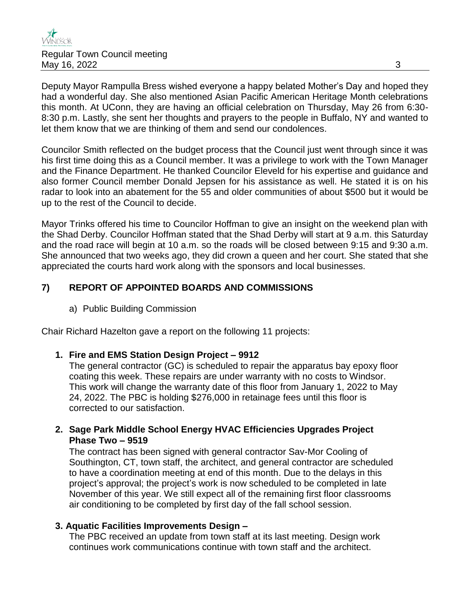

Deputy Mayor Rampulla Bress wished everyone a happy belated Mother's Day and hoped they had a wonderful day. She also mentioned Asian Pacific American Heritage Month celebrations this month. At UConn, they are having an official celebration on Thursday, May 26 from 6:30- 8:30 p.m. Lastly, she sent her thoughts and prayers to the people in Buffalo, NY and wanted to let them know that we are thinking of them and send our condolences.

Councilor Smith reflected on the budget process that the Council just went through since it was his first time doing this as a Council member. It was a privilege to work with the Town Manager and the Finance Department. He thanked Councilor Eleveld for his expertise and guidance and also former Council member Donald Jepsen for his assistance as well. He stated it is on his radar to look into an abatement for the 55 and older communities of about \$500 but it would be up to the rest of the Council to decide.

Mayor Trinks offered his time to Councilor Hoffman to give an insight on the weekend plan with the Shad Derby. Councilor Hoffman stated that the Shad Derby will start at 9 a.m. this Saturday and the road race will begin at 10 a.m. so the roads will be closed between 9:15 and 9:30 a.m. She announced that two weeks ago, they did crown a queen and her court. She stated that she appreciated the courts hard work along with the sponsors and local businesses.

# **7) REPORT OF APPOINTED BOARDS AND COMMISSIONS**

a) Public Building Commission

Chair Richard Hazelton gave a report on the following 11 projects:

## **1. Fire and EMS Station Design Project – 9912**

The general contractor (GC) is scheduled to repair the apparatus bay epoxy floor coating this week. These repairs are under warranty with no costs to Windsor. This work will change the warranty date of this floor from January 1, 2022 to May 24, 2022. The PBC is holding \$276,000 in retainage fees until this floor is corrected to our satisfaction.

**2. Sage Park Middle School Energy HVAC Efficiencies Upgrades Project Phase Two – 9519**

The contract has been signed with general contractor Sav-Mor Cooling of Southington, CT, town staff, the architect, and general contractor are scheduled to have a coordination meeting at end of this month. Due to the delays in this project's approval; the project's work is now scheduled to be completed in late November of this year. We still expect all of the remaining first floor classrooms air conditioning to be completed by first day of the fall school session.

## **3. Aquatic Facilities Improvements Design –**

The PBC received an update from town staff at its last meeting. Design work continues work communications continue with town staff and the architect.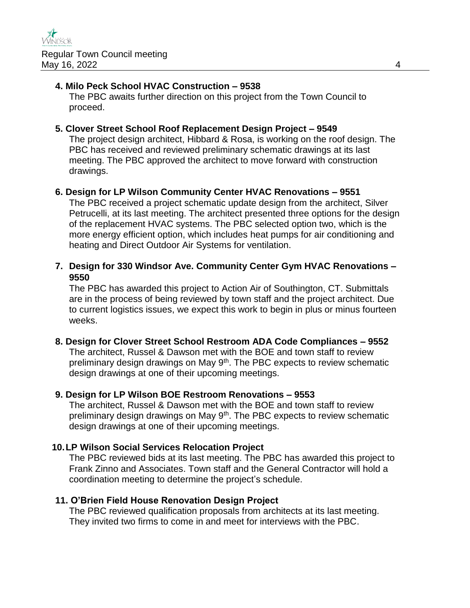## **4. Milo Peck School HVAC Construction – 9538**

The PBC awaits further direction on this project from the Town Council to proceed.

### **5. Clover Street School Roof Replacement Design Project – 9549**

The project design architect, Hibbard & Rosa, is working on the roof design. The PBC has received and reviewed preliminary schematic drawings at its last meeting. The PBC approved the architect to move forward with construction drawings.

## **6. Design for LP Wilson Community Center HVAC Renovations – 9551**

The PBC received a project schematic update design from the architect, Silver Petrucelli, at its last meeting. The architect presented three options for the design of the replacement HVAC systems. The PBC selected option two, which is the more energy efficient option, which includes heat pumps for air conditioning and heating and Direct Outdoor Air Systems for ventilation.

## **7. Design for 330 Windsor Ave. Community Center Gym HVAC Renovations – 9550**

The PBC has awarded this project to Action Air of Southington, CT. Submittals are in the process of being reviewed by town staff and the project architect. Due to current logistics issues, we expect this work to begin in plus or minus fourteen weeks.

#### **8. Design for Clover Street School Restroom ADA Code Compliances – 9552**

The architect, Russel & Dawson met with the BOE and town staff to review preliminary design drawings on May  $9<sup>th</sup>$ . The PBC expects to review schematic design drawings at one of their upcoming meetings.

#### **9. Design for LP Wilson BOE Restroom Renovations – 9553**

The architect, Russel & Dawson met with the BOE and town staff to review preliminary design drawings on May  $9<sup>th</sup>$ . The PBC expects to review schematic design drawings at one of their upcoming meetings.

#### **10.LP Wilson Social Services Relocation Project**

The PBC reviewed bids at its last meeting. The PBC has awarded this project to Frank Zinno and Associates. Town staff and the General Contractor will hold a coordination meeting to determine the project's schedule.

#### **11. O'Brien Field House Renovation Design Project**

The PBC reviewed qualification proposals from architects at its last meeting. They invited two firms to come in and meet for interviews with the PBC.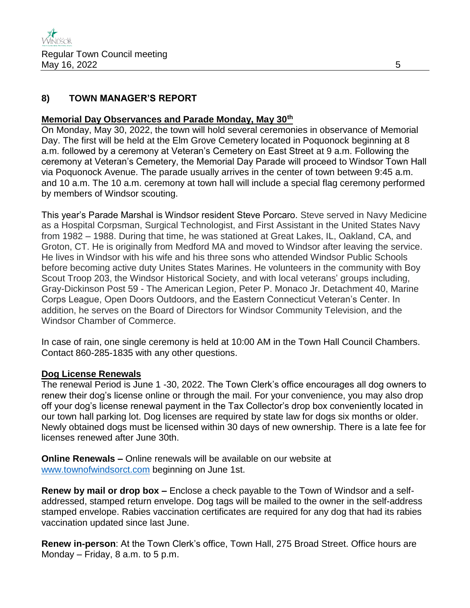# **8) TOWN MANAGER'S REPORT**

## **Memorial Day Observances and Parade Monday, May 30th**

On Monday, May 30, 2022, the town will hold several ceremonies in observance of Memorial Day. The first will be held at the Elm Grove Cemetery located in Poquonock beginning at 8 a.m. followed by a ceremony at Veteran's Cemetery on East Street at 9 a.m. Following the ceremony at Veteran's Cemetery, the Memorial Day Parade will proceed to Windsor Town Hall via Poquonock Avenue. The parade usually arrives in the center of town between 9:45 a.m. and 10 a.m. The 10 a.m. ceremony at town hall will include a special flag ceremony performed by members of Windsor scouting.

This year's Parade Marshal is Windsor resident Steve Porcaro. Steve served in Navy Medicine as a Hospital Corpsman, Surgical Technologist, and First Assistant in the United States Navy from 1982 – 1988. During that time, he was stationed at Great Lakes, IL, Oakland, CA, and Groton, CT. He is originally from Medford MA and moved to Windsor after leaving the service. He lives in Windsor with his wife and his three sons who attended Windsor Public Schools before becoming active duty Unites States Marines. He volunteers in the community with Boy Scout Troop 203, the Windsor Historical Society, and with local veterans' groups including, Gray-Dickinson Post 59 - The American Legion, Peter P. Monaco Jr. Detachment 40, Marine Corps League, Open Doors Outdoors, and the Eastern Connecticut Veteran's Center. In addition, he serves on the Board of Directors for Windsor Community Television, and the Windsor Chamber of Commerce.

In case of rain, one single ceremony is held at 10:00 AM in the Town Hall Council Chambers. Contact 860-285-1835 with any other questions.

## **Dog License Renewals**

The renewal Period is June 1 -30, 2022. The Town Clerk's office encourages all dog owners to renew their dog's license online or through the mail. For your convenience, you may also drop off your dog's license renewal payment in the Tax Collector's drop box conveniently located in our town hall parking lot. Dog licenses are required by state law for dogs six months or older. Newly obtained dogs must be licensed within 30 days of new ownership. There is a late fee for licenses renewed after June 30th.

**Online Renewals –** Online renewals will be available on our website at [www.townofwindsorct.com](http://www.townofwindsorct.com/) beginning on June 1st.

**Renew by mail or drop box –** Enclose a check payable to the Town of Windsor and a selfaddressed, stamped return envelope. Dog tags will be mailed to the owner in the self-address stamped envelope. Rabies vaccination certificates are required for any dog that had its rabies vaccination updated since last June.

**Renew in-person**: At the Town Clerk's office, Town Hall, 275 Broad Street. Office hours are Monday – Friday, 8 a.m. to 5 p.m.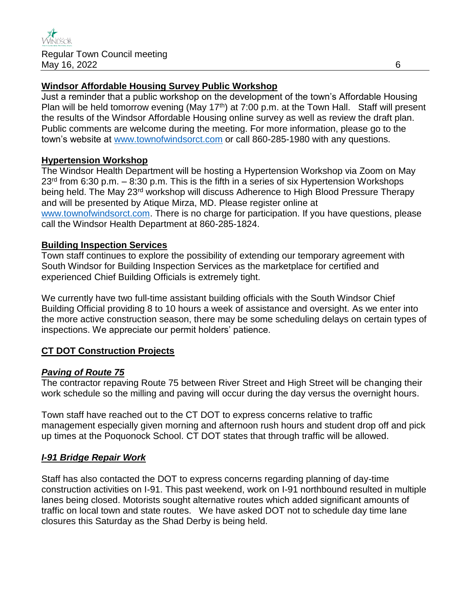## **Windsor Affordable Housing Survey Public Workshop**

Just a reminder that a public workshop on the development of the town's Affordable Housing Plan will be held tomorrow evening (May 17<sup>th</sup>) at 7:00 p.m. at the Town Hall. Staff will present the results of the Windsor Affordable Housing online survey as well as review the draft plan. Public comments are welcome during the meeting. For more information, please go to the town's website at [www.townofwindsorct.com](http://www.townofwindsorct.com/) or call 860-285-1980 with any questions.

## **Hypertension Workshop**

The Windsor Health Department will be hosting a Hypertension Workshop via Zoom on May  $23<sup>rd</sup>$  from 6:30 p.m. – 8:30 p.m. This is the fifth in a series of six Hypertension Workshops being held. The May 23<sup>rd</sup> workshop will discuss Adherence to High Blood Pressure Therapy and will be presented by Atique Mirza, MD. Please register online at [www.townofwindsorct.com.](http://www.townofwindsorct.com/) There is no charge for participation. If you have questions, please call the Windsor Health Department at 860-285-1824.

## **Building Inspection Services**

Town staff continues to explore the possibility of extending our temporary agreement with South Windsor for Building Inspection Services as the marketplace for certified and experienced Chief Building Officials is extremely tight.

We currently have two full-time assistant building officials with the South Windsor Chief Building Official providing 8 to 10 hours a week of assistance and oversight. As we enter into the more active construction season, there may be some scheduling delays on certain types of inspections. We appreciate our permit holders' patience.

# **CT DOT Construction Projects**

## *Paving of Route 75*

The contractor repaving Route 75 between River Street and High Street will be changing their work schedule so the milling and paving will occur during the day versus the overnight hours.

Town staff have reached out to the CT DOT to express concerns relative to traffic management especially given morning and afternoon rush hours and student drop off and pick up times at the Poquonock School. CT DOT states that through traffic will be allowed.

# *I-91 Bridge Repair Work*

Staff has also contacted the DOT to express concerns regarding planning of day-time construction activities on I-91. This past weekend, work on I-91 northbound resulted in multiple lanes being closed. Motorists sought alternative routes which added significant amounts of traffic on local town and state routes. We have asked DOT not to schedule day time lane closures this Saturday as the Shad Derby is being held.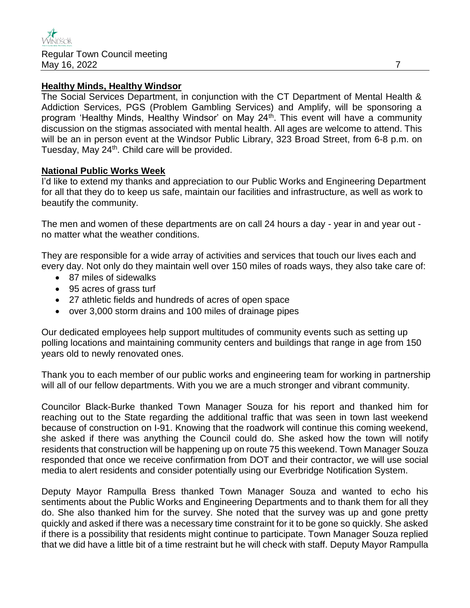### **Healthy Minds, Healthy Windsor**

The Social Services Department, in conjunction with the CT Department of Mental Health & Addiction Services, PGS (Problem Gambling Services) and Amplify, will be sponsoring a program 'Healthy Minds, Healthy Windsor' on May 24<sup>th</sup>. This event will have a community discussion on the stigmas associated with mental health. All ages are welcome to attend. This will be an in person event at the Windsor Public Library, 323 Broad Street, from 6-8 p.m. on Tuesday, May 24<sup>th</sup>. Child care will be provided.

#### **National Public Works Week**

I'd like to extend my thanks and appreciation to our Public Works and Engineering Department for all that they do to keep us safe, maintain our facilities and infrastructure, as well as work to beautify the community.

The men and women of these departments are on call 24 hours a day - year in and year out no matter what the weather conditions.

They are responsible for a wide array of activities and services that touch our lives each and every day. Not only do they maintain well over 150 miles of roads ways, they also take care of:

- 87 miles of sidewalks
- 95 acres of grass turf
- 27 athletic fields and hundreds of acres of open space
- over 3,000 storm drains and 100 miles of drainage pipes

Our dedicated employees help support multitudes of community events such as setting up polling locations and maintaining community centers and buildings that range in age from 150 years old to newly renovated ones.

Thank you to each member of our public works and engineering team for working in partnership will all of our fellow departments. With you we are a much stronger and vibrant community.

Councilor Black-Burke thanked Town Manager Souza for his report and thanked him for reaching out to the State regarding the additional traffic that was seen in town last weekend because of construction on I-91. Knowing that the roadwork will continue this coming weekend, she asked if there was anything the Council could do. She asked how the town will notify residents that construction will be happening up on route 75 this weekend. Town Manager Souza responded that once we receive confirmation from DOT and their contractor, we will use social media to alert residents and consider potentially using our Everbridge Notification System.

Deputy Mayor Rampulla Bress thanked Town Manager Souza and wanted to echo his sentiments about the Public Works and Engineering Departments and to thank them for all they do. She also thanked him for the survey. She noted that the survey was up and gone pretty quickly and asked if there was a necessary time constraint for it to be gone so quickly. She asked if there is a possibility that residents might continue to participate. Town Manager Souza replied that we did have a little bit of a time restraint but he will check with staff. Deputy Mayor Rampulla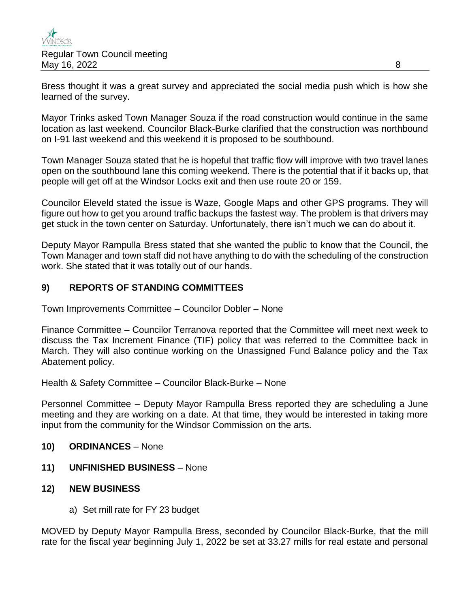

Bress thought it was a great survey and appreciated the social media push which is how she learned of the survey.

Mayor Trinks asked Town Manager Souza if the road construction would continue in the same location as last weekend. Councilor Black-Burke clarified that the construction was northbound on I-91 last weekend and this weekend it is proposed to be southbound.

Town Manager Souza stated that he is hopeful that traffic flow will improve with two travel lanes open on the southbound lane this coming weekend. There is the potential that if it backs up, that people will get off at the Windsor Locks exit and then use route 20 or 159.

Councilor Eleveld stated the issue is Waze, Google Maps and other GPS programs. They will figure out how to get you around traffic backups the fastest way. The problem is that drivers may get stuck in the town center on Saturday. Unfortunately, there isn't much we can do about it.

Deputy Mayor Rampulla Bress stated that she wanted the public to know that the Council, the Town Manager and town staff did not have anything to do with the scheduling of the construction work. She stated that it was totally out of our hands.

# **9) REPORTS OF STANDING COMMITTEES**

Town Improvements Committee – Councilor Dobler – None

Finance Committee – Councilor Terranova reported that the Committee will meet next week to discuss the Tax Increment Finance (TIF) policy that was referred to the Committee back in March. They will also continue working on the Unassigned Fund Balance policy and the Tax Abatement policy.

Health & Safety Committee – Councilor Black-Burke – None

Personnel Committee – Deputy Mayor Rampulla Bress reported they are scheduling a June meeting and they are working on a date. At that time, they would be interested in taking more input from the community for the Windsor Commission on the arts.

- **10) ORDINANCES** None
- **11) UNFINISHED BUSINESS** None
- **12) NEW BUSINESS** 
	- a) Set mill rate for FY 23 budget

MOVED by Deputy Mayor Rampulla Bress, seconded by Councilor Black-Burke, that the mill rate for the fiscal year beginning July 1, 2022 be set at 33.27 mills for real estate and personal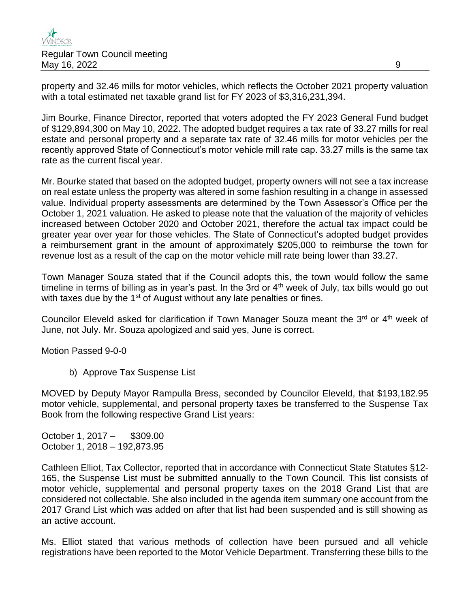property and 32.46 mills for motor vehicles, which reflects the October 2021 property valuation with a total estimated net taxable grand list for FY 2023 of \$3,316,231,394.

Jim Bourke, Finance Director, reported that voters adopted the FY 2023 General Fund budget of \$129,894,300 on May 10, 2022. The adopted budget requires a tax rate of 33.27 mills for real estate and personal property and a separate tax rate of 32.46 mills for motor vehicles per the recently approved State of Connecticut's motor vehicle mill rate cap. 33.27 mills is the same tax rate as the current fiscal year.

Mr. Bourke stated that based on the adopted budget, property owners will not see a tax increase on real estate unless the property was altered in some fashion resulting in a change in assessed value. Individual property assessments are determined by the Town Assessor's Office per the October 1, 2021 valuation. He asked to please note that the valuation of the majority of vehicles increased between October 2020 and October 2021, therefore the actual tax impact could be greater year over year for those vehicles. The State of Connecticut's adopted budget provides a reimbursement grant in the amount of approximately \$205,000 to reimburse the town for revenue lost as a result of the cap on the motor vehicle mill rate being lower than 33.27.

Town Manager Souza stated that if the Council adopts this, the town would follow the same timeline in terms of billing as in year's past. In the 3rd or  $4<sup>th</sup>$  week of July, tax bills would go out with taxes due by the 1<sup>st</sup> of August without any late penalties or fines.

Councilor Eleveld asked for clarification if Town Manager Souza meant the 3<sup>rd</sup> or 4<sup>th</sup> week of June, not July. Mr. Souza apologized and said yes, June is correct.

Motion Passed 9-0-0

b) Approve Tax Suspense List

MOVED by Deputy Mayor Rampulla Bress, seconded by Councilor Eleveld, that \$193,182.95 motor vehicle, supplemental, and personal property taxes be transferred to the Suspense Tax Book from the following respective Grand List years:

October 1, 2017 – \$309.00 October 1, 2018 – 192,873.95

Cathleen Elliot, Tax Collector, reported that in accordance with Connecticut State Statutes §12- 165, the Suspense List must be submitted annually to the Town Council. This list consists of motor vehicle, supplemental and personal property taxes on the 2018 Grand List that are considered not collectable. She also included in the agenda item summary one account from the 2017 Grand List which was added on after that list had been suspended and is still showing as an active account.

Ms. Elliot stated that various methods of collection have been pursued and all vehicle registrations have been reported to the Motor Vehicle Department. Transferring these bills to the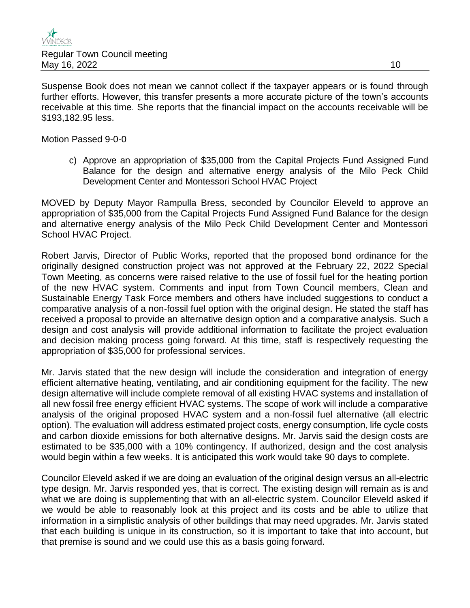Suspense Book does not mean we cannot collect if the taxpayer appears or is found through further efforts. However, this transfer presents a more accurate picture of the town's accounts receivable at this time. She reports that the financial impact on the accounts receivable will be \$193,182.95 less.

Motion Passed 9-0-0

c) Approve an appropriation of \$35,000 from the Capital Projects Fund Assigned Fund Balance for the design and alternative energy analysis of the Milo Peck Child Development Center and Montessori School HVAC Project

MOVED by Deputy Mayor Rampulla Bress, seconded by Councilor Eleveld to approve an appropriation of \$35,000 from the Capital Projects Fund Assigned Fund Balance for the design and alternative energy analysis of the Milo Peck Child Development Center and Montessori School HVAC Project.

Robert Jarvis, Director of Public Works, reported that the proposed bond ordinance for the originally designed construction project was not approved at the February 22, 2022 Special Town Meeting, as concerns were raised relative to the use of fossil fuel for the heating portion of the new HVAC system. Comments and input from Town Council members, Clean and Sustainable Energy Task Force members and others have included suggestions to conduct a comparative analysis of a non-fossil fuel option with the original design. He stated the staff has received a proposal to provide an alternative design option and a comparative analysis. Such a design and cost analysis will provide additional information to facilitate the project evaluation and decision making process going forward. At this time, staff is respectively requesting the appropriation of \$35,000 for professional services.

Mr. Jarvis stated that the new design will include the consideration and integration of energy efficient alternative heating, ventilating, and air conditioning equipment for the facility. The new design alternative will include complete removal of all existing HVAC systems and installation of all new fossil free energy efficient HVAC systems. The scope of work will include a comparative analysis of the original proposed HVAC system and a non-fossil fuel alternative (all electric option). The evaluation will address estimated project costs, energy consumption, life cycle costs and carbon dioxide emissions for both alternative designs. Mr. Jarvis said the design costs are estimated to be \$35,000 with a 10% contingency. If authorized, design and the cost analysis would begin within a few weeks. It is anticipated this work would take 90 days to complete.

Councilor Eleveld asked if we are doing an evaluation of the original design versus an all-electric type design. Mr. Jarvis responded yes, that is correct. The existing design will remain as is and what we are doing is supplementing that with an all-electric system. Councilor Eleveld asked if we would be able to reasonably look at this project and its costs and be able to utilize that information in a simplistic analysis of other buildings that may need upgrades. Mr. Jarvis stated that each building is unique in its construction, so it is important to take that into account, but that premise is sound and we could use this as a basis going forward.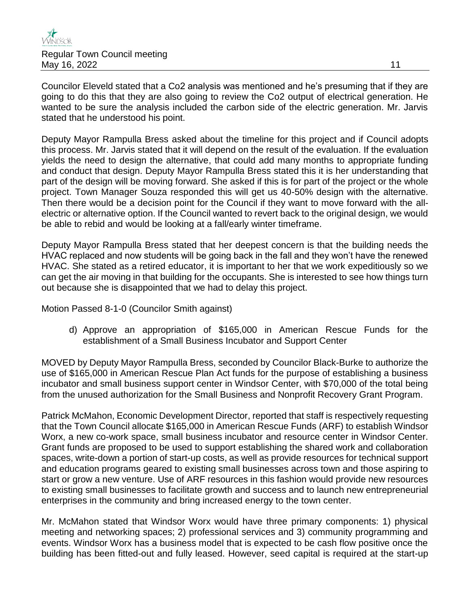

Councilor Eleveld stated that a Co2 analysis was mentioned and he's presuming that if they are going to do this that they are also going to review the Co2 output of electrical generation. He wanted to be sure the analysis included the carbon side of the electric generation. Mr. Jarvis stated that he understood his point.

Deputy Mayor Rampulla Bress asked about the timeline for this project and if Council adopts this process. Mr. Jarvis stated that it will depend on the result of the evaluation. If the evaluation yields the need to design the alternative, that could add many months to appropriate funding and conduct that design. Deputy Mayor Rampulla Bress stated this it is her understanding that part of the design will be moving forward. She asked if this is for part of the project or the whole project. Town Manager Souza responded this will get us 40-50% design with the alternative. Then there would be a decision point for the Council if they want to move forward with the allelectric or alternative option. If the Council wanted to revert back to the original design, we would be able to rebid and would be looking at a fall/early winter timeframe.

Deputy Mayor Rampulla Bress stated that her deepest concern is that the building needs the HVAC replaced and now students will be going back in the fall and they won't have the renewed HVAC. She stated as a retired educator, it is important to her that we work expeditiously so we can get the air moving in that building for the occupants. She is interested to see how things turn out because she is disappointed that we had to delay this project.

Motion Passed 8-1-0 (Councilor Smith against)

d) Approve an appropriation of \$165,000 in American Rescue Funds for the establishment of a Small Business Incubator and Support Center

MOVED by Deputy Mayor Rampulla Bress, seconded by Councilor Black-Burke to authorize the use of \$165,000 in American Rescue Plan Act funds for the purpose of establishing a business incubator and small business support center in Windsor Center, with \$70,000 of the total being from the unused authorization for the Small Business and Nonprofit Recovery Grant Program.

Patrick McMahon, Economic Development Director, reported that staff is respectively requesting that the Town Council allocate \$165,000 in American Rescue Funds (ARF) to establish Windsor Worx, a new co-work space, small business incubator and resource center in Windsor Center. Grant funds are proposed to be used to support establishing the shared work and collaboration spaces, write-down a portion of start-up costs, as well as provide resources for technical support and education programs geared to existing small businesses across town and those aspiring to start or grow a new venture. Use of ARF resources in this fashion would provide new resources to existing small businesses to facilitate growth and success and to launch new entrepreneurial enterprises in the community and bring increased energy to the town center.

Mr. McMahon stated that Windsor Worx would have three primary components: 1) physical meeting and networking spaces; 2) professional services and 3) community programming and events. Windsor Worx has a business model that is expected to be cash flow positive once the building has been fitted-out and fully leased. However, seed capital is required at the start-up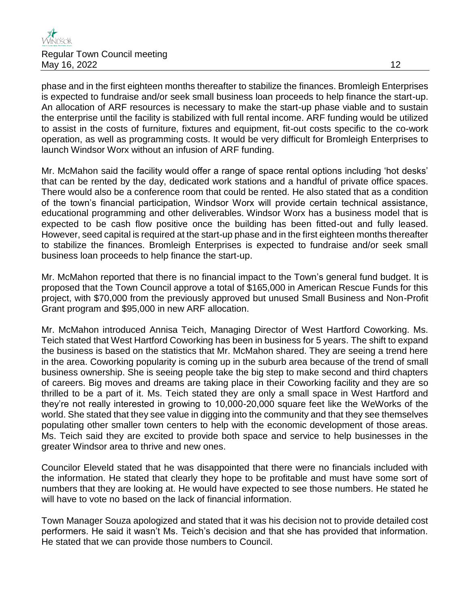

phase and in the first eighteen months thereafter to stabilize the finances. Bromleigh Enterprises is expected to fundraise and/or seek small business loan proceeds to help finance the start-up. An allocation of ARF resources is necessary to make the start-up phase viable and to sustain the enterprise until the facility is stabilized with full rental income. ARF funding would be utilized to assist in the costs of furniture, fixtures and equipment, fit-out costs specific to the co-work operation, as well as programming costs. It would be very difficult for Bromleigh Enterprises to launch Windsor Worx without an infusion of ARF funding.

Mr. McMahon said the facility would offer a range of space rental options including 'hot desks' that can be rented by the day, dedicated work stations and a handful of private office spaces. There would also be a conference room that could be rented. He also stated that as a condition of the town's financial participation, Windsor Worx will provide certain technical assistance, educational programming and other deliverables. Windsor Worx has a business model that is expected to be cash flow positive once the building has been fitted-out and fully leased. However, seed capital is required at the start-up phase and in the first eighteen months thereafter to stabilize the finances. Bromleigh Enterprises is expected to fundraise and/or seek small business loan proceeds to help finance the start-up.

Mr. McMahon reported that there is no financial impact to the Town's general fund budget. It is proposed that the Town Council approve a total of \$165,000 in American Rescue Funds for this project, with \$70,000 from the previously approved but unused Small Business and Non-Profit Grant program and \$95,000 in new ARF allocation.

Mr. McMahon introduced Annisa Teich, Managing Director of West Hartford Coworking. Ms. Teich stated that West Hartford Coworking has been in business for 5 years. The shift to expand the business is based on the statistics that Mr. McMahon shared. They are seeing a trend here in the area. Coworking popularity is coming up in the suburb area because of the trend of small business ownership. She is seeing people take the big step to make second and third chapters of careers. Big moves and dreams are taking place in their Coworking facility and they are so thrilled to be a part of it. Ms. Teich stated they are only a small space in West Hartford and they're not really interested in growing to 10,000-20,000 square feet like the WeWorks of the world. She stated that they see value in digging into the community and that they see themselves populating other smaller town centers to help with the economic development of those areas. Ms. Teich said they are excited to provide both space and service to help businesses in the greater Windsor area to thrive and new ones.

Councilor Eleveld stated that he was disappointed that there were no financials included with the information. He stated that clearly they hope to be profitable and must have some sort of numbers that they are looking at. He would have expected to see those numbers. He stated he will have to vote no based on the lack of financial information.

Town Manager Souza apologized and stated that it was his decision not to provide detailed cost performers. He said it wasn't Ms. Teich's decision and that she has provided that information. He stated that we can provide those numbers to Council.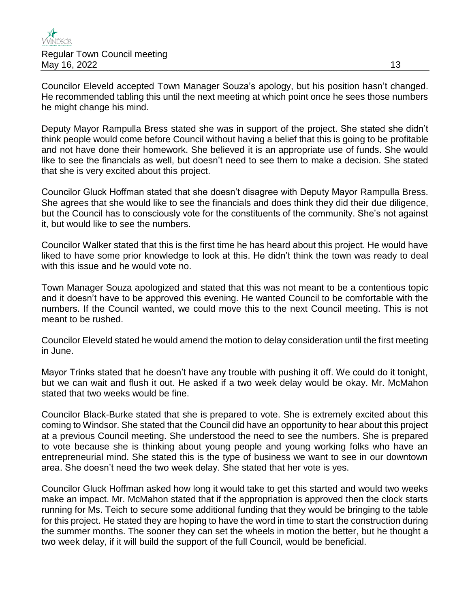Councilor Eleveld accepted Town Manager Souza's apology, but his position hasn't changed. He recommended tabling this until the next meeting at which point once he sees those numbers he might change his mind.

Deputy Mayor Rampulla Bress stated she was in support of the project. She stated she didn't think people would come before Council without having a belief that this is going to be profitable and not have done their homework. She believed it is an appropriate use of funds. She would like to see the financials as well, but doesn't need to see them to make a decision. She stated that she is very excited about this project.

Councilor Gluck Hoffman stated that she doesn't disagree with Deputy Mayor Rampulla Bress. She agrees that she would like to see the financials and does think they did their due diligence, but the Council has to consciously vote for the constituents of the community. She's not against it, but would like to see the numbers.

Councilor Walker stated that this is the first time he has heard about this project. He would have liked to have some prior knowledge to look at this. He didn't think the town was ready to deal with this issue and he would vote no.

Town Manager Souza apologized and stated that this was not meant to be a contentious topic and it doesn't have to be approved this evening. He wanted Council to be comfortable with the numbers. If the Council wanted, we could move this to the next Council meeting. This is not meant to be rushed.

Councilor Eleveld stated he would amend the motion to delay consideration until the first meeting in June.

Mayor Trinks stated that he doesn't have any trouble with pushing it off. We could do it tonight, but we can wait and flush it out. He asked if a two week delay would be okay. Mr. McMahon stated that two weeks would be fine.

Councilor Black-Burke stated that she is prepared to vote. She is extremely excited about this coming to Windsor. She stated that the Council did have an opportunity to hear about this project at a previous Council meeting. She understood the need to see the numbers. She is prepared to vote because she is thinking about young people and young working folks who have an entrepreneurial mind. She stated this is the type of business we want to see in our downtown area. She doesn't need the two week delay. She stated that her vote is yes.

Councilor Gluck Hoffman asked how long it would take to get this started and would two weeks make an impact. Mr. McMahon stated that if the appropriation is approved then the clock starts running for Ms. Teich to secure some additional funding that they would be bringing to the table for this project. He stated they are hoping to have the word in time to start the construction during the summer months. The sooner they can set the wheels in motion the better, but he thought a two week delay, if it will build the support of the full Council, would be beneficial.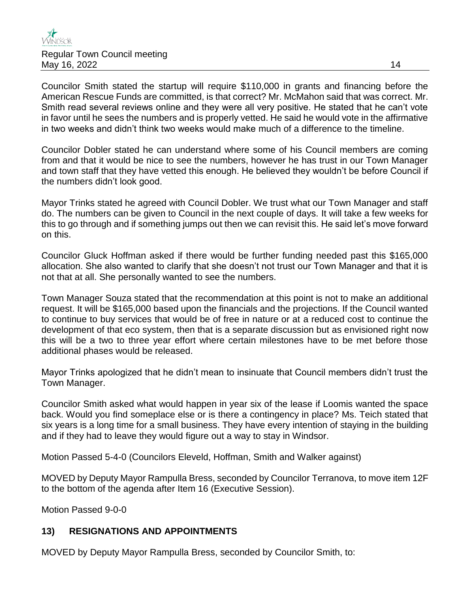Councilor Smith stated the startup will require \$110,000 in grants and financing before the American Rescue Funds are committed, is that correct? Mr. McMahon said that was correct. Mr. Smith read several reviews online and they were all very positive. He stated that he can't vote in favor until he sees the numbers and is properly vetted. He said he would vote in the affirmative in two weeks and didn't think two weeks would make much of a difference to the timeline.

Councilor Dobler stated he can understand where some of his Council members are coming from and that it would be nice to see the numbers, however he has trust in our Town Manager and town staff that they have vetted this enough. He believed they wouldn't be before Council if the numbers didn't look good.

Mayor Trinks stated he agreed with Council Dobler. We trust what our Town Manager and staff do. The numbers can be given to Council in the next couple of days. It will take a few weeks for this to go through and if something jumps out then we can revisit this. He said let's move forward on this.

Councilor Gluck Hoffman asked if there would be further funding needed past this \$165,000 allocation. She also wanted to clarify that she doesn't not trust our Town Manager and that it is not that at all. She personally wanted to see the numbers.

Town Manager Souza stated that the recommendation at this point is not to make an additional request. It will be \$165,000 based upon the financials and the projections. If the Council wanted to continue to buy services that would be of free in nature or at a reduced cost to continue the development of that eco system, then that is a separate discussion but as envisioned right now this will be a two to three year effort where certain milestones have to be met before those additional phases would be released.

Mayor Trinks apologized that he didn't mean to insinuate that Council members didn't trust the Town Manager.

Councilor Smith asked what would happen in year six of the lease if Loomis wanted the space back. Would you find someplace else or is there a contingency in place? Ms. Teich stated that six years is a long time for a small business. They have every intention of staying in the building and if they had to leave they would figure out a way to stay in Windsor.

Motion Passed 5-4-0 (Councilors Eleveld, Hoffman, Smith and Walker against)

MOVED by Deputy Mayor Rampulla Bress, seconded by Councilor Terranova, to move item 12F to the bottom of the agenda after Item 16 (Executive Session).

Motion Passed 9-0-0

# **13) RESIGNATIONS AND APPOINTMENTS**

MOVED by Deputy Mayor Rampulla Bress, seconded by Councilor Smith, to: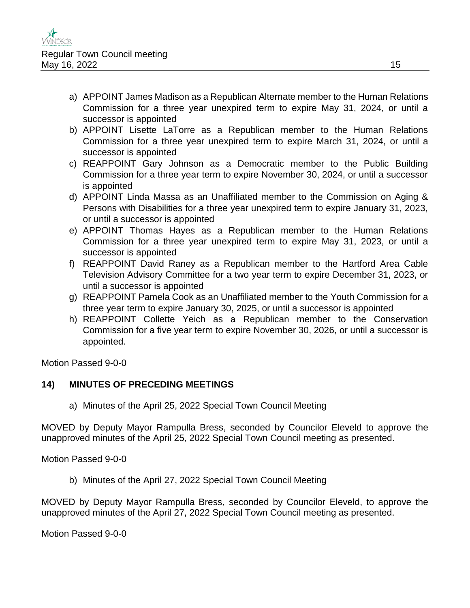- a) APPOINT James Madison as a Republican Alternate member to the Human Relations Commission for a three year unexpired term to expire May 31, 2024, or until a successor is appointed
- b) APPOINT Lisette LaTorre as a Republican member to the Human Relations Commission for a three year unexpired term to expire March 31, 2024, or until a successor is appointed
- c) REAPPOINT Gary Johnson as a Democratic member to the Public Building Commission for a three year term to expire November 30, 2024, or until a successor is appointed
- d) APPOINT Linda Massa as an Unaffiliated member to the Commission on Aging & Persons with Disabilities for a three year unexpired term to expire January 31, 2023, or until a successor is appointed
- e) APPOINT Thomas Hayes as a Republican member to the Human Relations Commission for a three year unexpired term to expire May 31, 2023, or until a successor is appointed
- f) REAPPOINT David Raney as a Republican member to the Hartford Area Cable Television Advisory Committee for a two year term to expire December 31, 2023, or until a successor is appointed
- g) REAPPOINT Pamela Cook as an Unaffiliated member to the Youth Commission for a three year term to expire January 30, 2025, or until a successor is appointed
- h) REAPPOINT Collette Yeich as a Republican member to the Conservation Commission for a five year term to expire November 30, 2026, or until a successor is appointed.

Motion Passed 9-0-0

# **14) MINUTES OF PRECEDING MEETINGS**

a) Minutes of the April 25, 2022 Special Town Council Meeting

MOVED by Deputy Mayor Rampulla Bress, seconded by Councilor Eleveld to approve the unapproved minutes of the April 25, 2022 Special Town Council meeting as presented.

Motion Passed 9-0-0

b) Minutes of the April 27, 2022 Special Town Council Meeting

MOVED by Deputy Mayor Rampulla Bress, seconded by Councilor Eleveld, to approve the unapproved minutes of the April 27, 2022 Special Town Council meeting as presented.

Motion Passed 9-0-0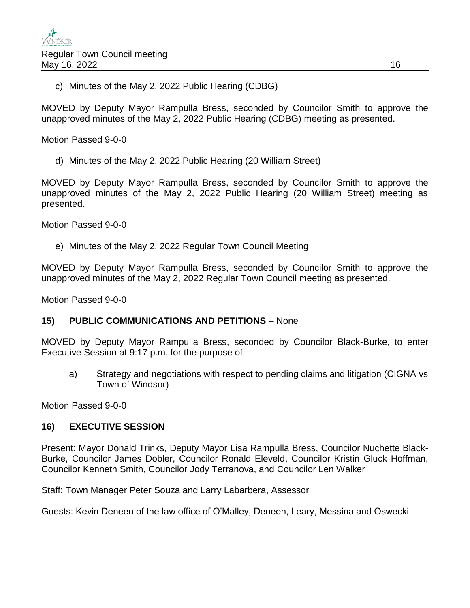c) Minutes of the May 2, 2022 Public Hearing (CDBG)

MOVED by Deputy Mayor Rampulla Bress, seconded by Councilor Smith to approve the unapproved minutes of the May 2, 2022 Public Hearing (CDBG) meeting as presented.

Motion Passed 9-0-0

d) Minutes of the May 2, 2022 Public Hearing (20 William Street)

MOVED by Deputy Mayor Rampulla Bress, seconded by Councilor Smith to approve the unapproved minutes of the May 2, 2022 Public Hearing (20 William Street) meeting as presented.

Motion Passed 9-0-0

e) Minutes of the May 2, 2022 Regular Town Council Meeting

MOVED by Deputy Mayor Rampulla Bress, seconded by Councilor Smith to approve the unapproved minutes of the May 2, 2022 Regular Town Council meeting as presented.

Motion Passed 9-0-0

## **15) PUBLIC COMMUNICATIONS AND PETITIONS** – None

MOVED by Deputy Mayor Rampulla Bress, seconded by Councilor Black-Burke, to enter Executive Session at 9:17 p.m. for the purpose of:

a) Strategy and negotiations with respect to pending claims and litigation (CIGNA vs Town of Windsor)

Motion Passed 9-0-0

## **16) EXECUTIVE SESSION**

Present: Mayor Donald Trinks, Deputy Mayor Lisa Rampulla Bress, Councilor Nuchette Black-Burke, Councilor James Dobler, Councilor Ronald Eleveld, Councilor Kristin Gluck Hoffman, Councilor Kenneth Smith, Councilor Jody Terranova, and Councilor Len Walker

Staff: Town Manager Peter Souza and Larry Labarbera, Assessor

Guests: Kevin Deneen of the law office of O'Malley, Deneen, Leary, Messina and Oswecki